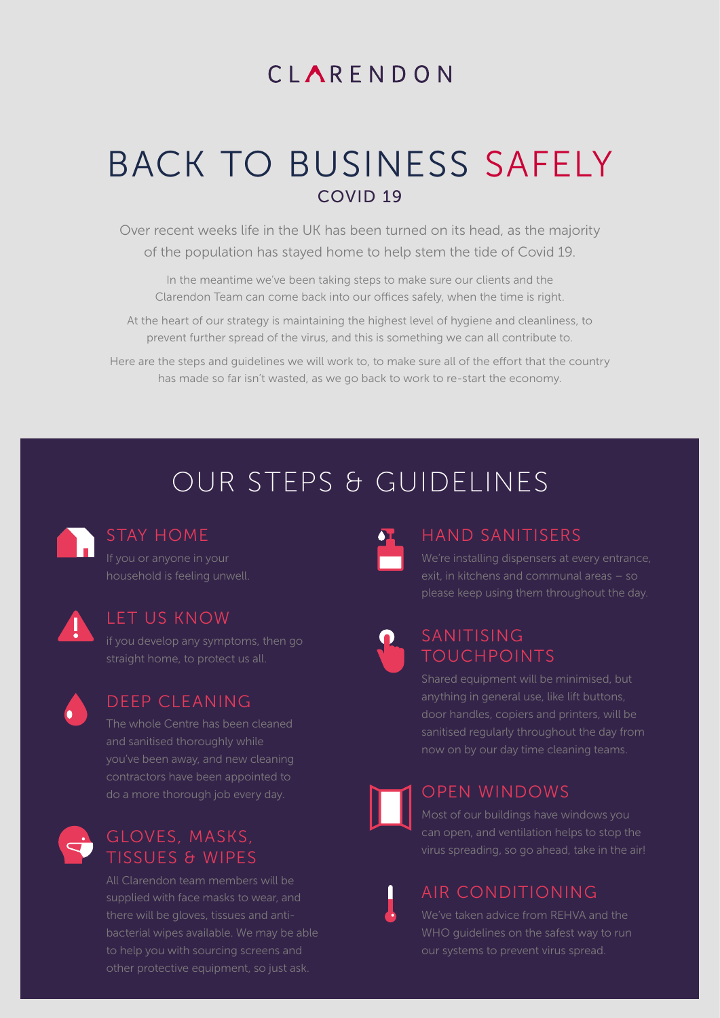# CIARENDON

# BACK TO BUSINESS SAFELY COVID 19

Over recent weeks life in the UK has been turned on its head, as the majority of the population has stayed home to help stem the tide of Covid 19.

In the meantime we've been taking steps to make sure our clients and the Clarendon Team can come back into our offices safely, when the time is right.

At the heart of our strategy is maintaining the highest level of hygiene and cleanliness, to prevent further spread of the virus, and this is something we can all contribute to.

Here are the steps and guidelines we will work to, to make sure all of the effort that the country has made so far isn't wasted, as we go back to work to re-start the economy.

# OUR STEPS & GUIDELINES



## STAY HOME

If you or anyone in your



#### LET US KNOW

straight home, to protect us all.



### DEEP CLEANING

The whole Centre has been cleaned and sanitised thoroughly while contractors have been appointed to



# TISSUES & WIPES

All Clarendon team members will be supplied with face masks to wear, and bacterial wipes available. We may be able to help you with sourcing screens and



# HAND SANITISERS

We're installing dispensers at every entrance, please keep using them throughout the day.



# SANITISING TOUCHPOINTS

Shared equipment will be minimised, but now on by our day time cleaning teams.



# OPEN WINDOWS

Most of our buildings have windows you can open, and ventilation helps to stop the

# AIR CONDITIONING

We've taken advice from REHVA and the WHO guidelines on the safest way to run our systems to prevent virus spread.